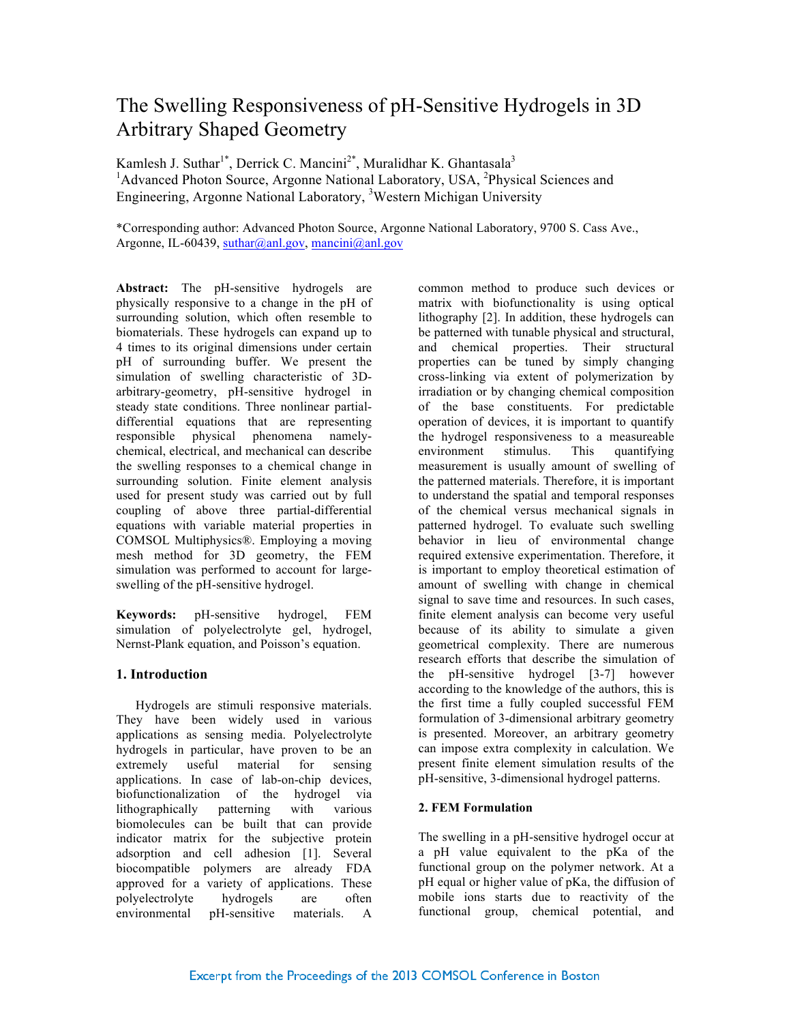# The Swelling Responsiveness of pH-Sensitive Hydrogels in 3D Arbitrary Shaped Geometry

Kamlesh J. Suthar<sup>1\*</sup>, Derrick C. Mancini<sup>2\*</sup>, Muralidhar K. Ghantasala<sup>3</sup> <sup>1</sup>Advanced Photon Source, Argonne National Laboratory, USA, <sup>2</sup>Physical Sciences and Engineering, Argonne National Laboratory, <sup>3</sup>Western Michigan University

\*Corresponding author: Advanced Photon Source, Argonne National Laboratory, 9700 S. Cass Ave., Argonne, IL-60439, suthar@anl.gov, mancini@anl.gov

**Abstract:** The pH-sensitive hydrogels are physically responsive to a change in the pH of surrounding solution, which often resemble to biomaterials. These hydrogels can expand up to 4 times to its original dimensions under certain pH of surrounding buffer. We present the simulation of swelling characteristic of 3Darbitrary-geometry, pH-sensitive hydrogel in steady state conditions. Three nonlinear partialdifferential equations that are representing responsible physical phenomena namelychemical, electrical, and mechanical can describe the swelling responses to a chemical change in surrounding solution. Finite element analysis used for present study was carried out by full coupling of above three partial-differential equations with variable material properties in COMSOL Multiphysics®. Employing a moving mesh method for 3D geometry, the FEM simulation was performed to account for largeswelling of the pH-sensitive hydrogel.

**Keywords:** pH-sensitive hydrogel, FEM simulation of polyelectrolyte gel, hydrogel, Nernst-Plank equation, and Poisson's equation.

# **1. Introduction**

Hydrogels are stimuli responsive materials. They have been widely used in various applications as sensing media. Polyelectrolyte hydrogels in particular, have proven to be an extremely useful material for sensing applications. In case of lab-on-chip devices, biofunctionalization of the hydrogel via lithographically patterning with various biomolecules can be built that can provide indicator matrix for the subjective protein adsorption and cell adhesion [1]. Several biocompatible polymers are already FDA approved for a variety of applications. These polyelectrolyte hydrogels are often environmental pH-sensitive materials. A

common method to produce such devices or matrix with biofunctionality is using optical lithography [2]. In addition, these hydrogels can be patterned with tunable physical and structural, and chemical properties. Their structural properties can be tuned by simply changing cross-linking via extent of polymerization by irradiation or by changing chemical composition of the base constituents. For predictable operation of devices, it is important to quantify the hydrogel responsiveness to a measureable environment stimulus. This quantifying measurement is usually amount of swelling of the patterned materials. Therefore, it is important to understand the spatial and temporal responses of the chemical versus mechanical signals in patterned hydrogel. To evaluate such swelling behavior in lieu of environmental change required extensive experimentation. Therefore, it is important to employ theoretical estimation of amount of swelling with change in chemical signal to save time and resources. In such cases, finite element analysis can become very useful because of its ability to simulate a given geometrical complexity. There are numerous research efforts that describe the simulation of the pH-sensitive hydrogel [3-7] however according to the knowledge of the authors, this is the first time a fully coupled successful FEM formulation of 3-dimensional arbitrary geometry is presented. Moreover, an arbitrary geometry can impose extra complexity in calculation. We present finite element simulation results of the pH-sensitive, 3-dimensional hydrogel patterns.

# **2. FEM Formulation**

The swelling in a pH-sensitive hydrogel occur at a pH value equivalent to the pKa of the functional group on the polymer network. At a pH equal or higher value of pKa, the diffusion of mobile ions starts due to reactivity of the functional group, chemical potential, and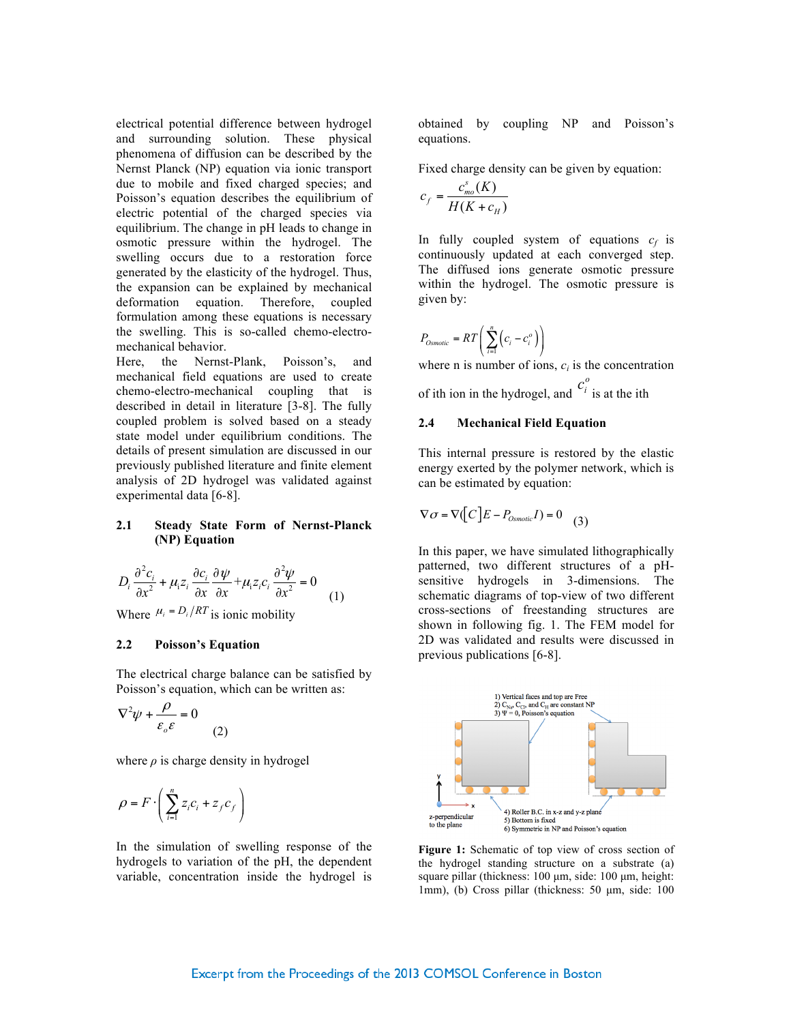electrical potential difference between hydrogel and surrounding solution. These physical phenomena of diffusion can be described by the Nernst Planck (NP) equation via ionic transport due to mobile and fixed charged species; and Poisson's equation describes the equilibrium of electric potential of the charged species via equilibrium. The change in pH leads to change in osmotic pressure within the hydrogel. The swelling occurs due to a restoration force generated by the elasticity of the hydrogel. Thus, the expansion can be explained by mechanical deformation equation. Therefore, coupled formulation among these equations is necessary the swelling. This is so-called chemo-electromechanical behavior.

Here, the Nernst-Plank, Poisson's, and mechanical field equations are used to create chemo-electro-mechanical coupling that is described in detail in literature [3-8]. The fully coupled problem is solved based on a steady state model under equilibrium conditions. The details of present simulation are discussed in our previously published literature and finite element analysis of 2D hydrogel was validated against experimental data [6-8].

## **2.1 Steady State Form of Nernst-Planck (NP) Equation**

$$
D_i \frac{\partial^2 c_i}{\partial x^2} + \mu_i z_i \frac{\partial c_i}{\partial x} \frac{\partial \psi}{\partial x} + \mu_i z_i c_i \frac{\partial^2 \psi}{\partial x^2} = 0
$$
  
Where  $\mu_i = D_i / RT$  is ionic mobility

 $W_i/KI$  is ionic mobility

## **2.2 Poisson's Equation**

The electrical charge balance can be satisfied by Poisson's equation, which can be written as:

$$
\nabla^2 \psi + \frac{\rho}{\varepsilon_o \varepsilon} = 0
$$
 (2)

where  $\rho$  is charge density in hydrogel

$$
\rho = F \cdot \left( \sum_{i=1}^{n} z_i c_i + z_j c_f \right)
$$

In the simulation of swelling response of the hydrogels to variation of the pH, the dependent variable, concentration inside the hydrogel is obtained by coupling NP and Poisson's equations.

Fixed charge density can be given by equation:

$$
c_f = \frac{c_{mo}^s(K)}{H(K + c_H)}
$$

In fully coupled system of equations  $c_f$  is continuously updated at each converged step. The diffused ions generate osmotic pressure within the hydrogel. The osmotic pressure is given by:

$$
P_{Osmotic} = RT\left(\sum_{i=1}^{n} \left(c_i - c_i^o\right)\right)
$$

where n is number of ions,  $c_i$  is the concentration of ith ion in the hydrogel, and  $\epsilon_i$  is at the ith  $c_i^o$ 

### **2.4 Mechanical Field Equation**

This internal pressure is restored by the elastic energy exerted by the polymer network, which is can be estimated by equation:

$$
\nabla \sigma = \nabla \left( C \right) E - P_{Osmotic} I) = 0 \tag{3}
$$

In this paper, we have simulated lithographically patterned, two different structures of a pHsensitive hydrogels in 3-dimensions. The schematic diagrams of top-view of two different cross-sections of freestanding structures are shown in following fig. 1. The FEM model for 2D was validated and results were discussed in previous publications [6-8].



**Figure 1:** Schematic of top view of cross section of the hydrogel standing structure on a substrate (a) square pillar (thickness: 100 µm, side: 100 µm, height: 1mm), (b) Cross pillar (thickness: 50 µm, side: 100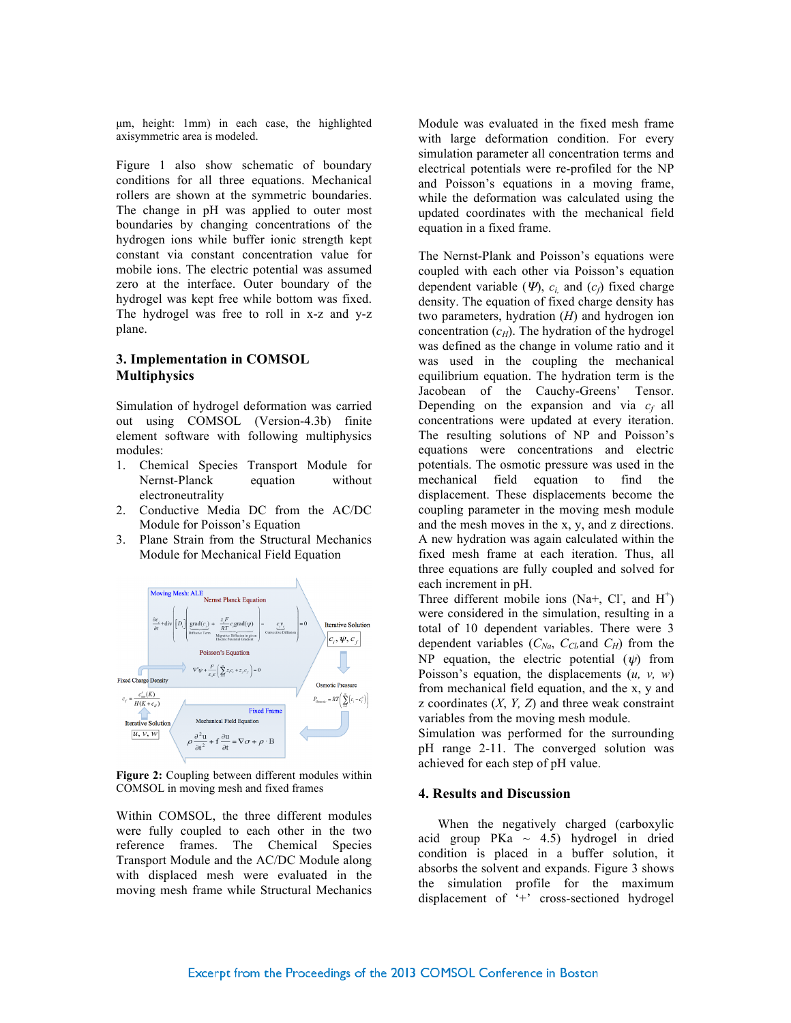µm, height: 1mm) in each case, the highlighted axisymmetric area is modeled.

Figure 1 also show schematic of boundary conditions for all three equations. Mechanical rollers are shown at the symmetric boundaries. The change in pH was applied to outer most boundaries by changing concentrations of the hydrogen ions while buffer ionic strength kept constant via constant concentration value for mobile ions. The electric potential was assumed zero at the interface. Outer boundary of the hydrogel was kept free while bottom was fixed. The hydrogel was free to roll in x-z and y-z plane.

# **3. Implementation in COMSOL Multiphysics**

Simulation of hydrogel deformation was carried out using COMSOL (Version-4.3b) finite element software with following multiphysics modules:

- 1. Chemical Species Transport Module for Nernst-Planck equation without electroneutrality
- 2. Conductive Media DC from the AC/DC Module for Poisson's Equation
- 3. Plane Strain from the Structural Mechanics Module for Mechanical Field Equation



**Figure 2:** Coupling between different modules within COMSOL in moving mesh and fixed frames

Within COMSOL, the three different modules were fully coupled to each other in the two reference frames. The Chemical Species Transport Module and the AC/DC Module along with displaced mesh were evaluated in the moving mesh frame while Structural Mechanics

Module was evaluated in the fixed mesh frame with large deformation condition. For every simulation parameter all concentration terms and electrical potentials were re-profiled for the NP and Poisson's equations in a moving frame, while the deformation was calculated using the updated coordinates with the mechanical field equation in a fixed frame.

The Nernst-Plank and Poisson's equations were coupled with each other via Poisson's equation dependent variable  $(\Psi)$ ,  $c_i$  and  $(c_f)$  fixed charge density. The equation of fixed charge density has two parameters, hydration (*H*) and hydrogen ion concentration  $(c_H)$ . The hydration of the hydrogel was defined as the change in volume ratio and it was used in the coupling the mechanical equilibrium equation. The hydration term is the Jacobean of the Cauchy-Greens' Tensor. Depending on the expansion and via  $c_f$  all concentrations were updated at every iteration. The resulting solutions of NP and Poisson's equations were concentrations and electric potentials. The osmotic pressure was used in the mechanical field equation to find the displacement. These displacements become the coupling parameter in the moving mesh module and the mesh moves in the x, y, and z directions. A new hydration was again calculated within the fixed mesh frame at each iteration. Thus, all three equations are fully coupled and solved for each increment in pH.

Three different mobile ions (Na+, Cl<sup>-</sup>, and H<sup>+</sup>) were considered in the simulation, resulting in a total of 10 dependent variables. There were 3 dependent variables  $(C_{Na}, C_{Cb}, \text{and } C_H)$  from the NP equation, the electric potential  $(\psi)$  from Poisson's equation, the displacements (*u, v, w*) from mechanical field equation, and the x, y and z coordinates (*X*, *Y, Z*) and three weak constraint variables from the moving mesh module.

Simulation was performed for the surrounding pH range 2-11. The converged solution was achieved for each step of pH value.

## **4. Results and Discussion**

When the negatively charged (carboxylic acid group PKa  $\sim$  4.5) hydrogel in dried condition is placed in a buffer solution, it absorbs the solvent and expands. Figure 3 shows the simulation profile for the maximum displacement of '+' cross-sectioned hydrogel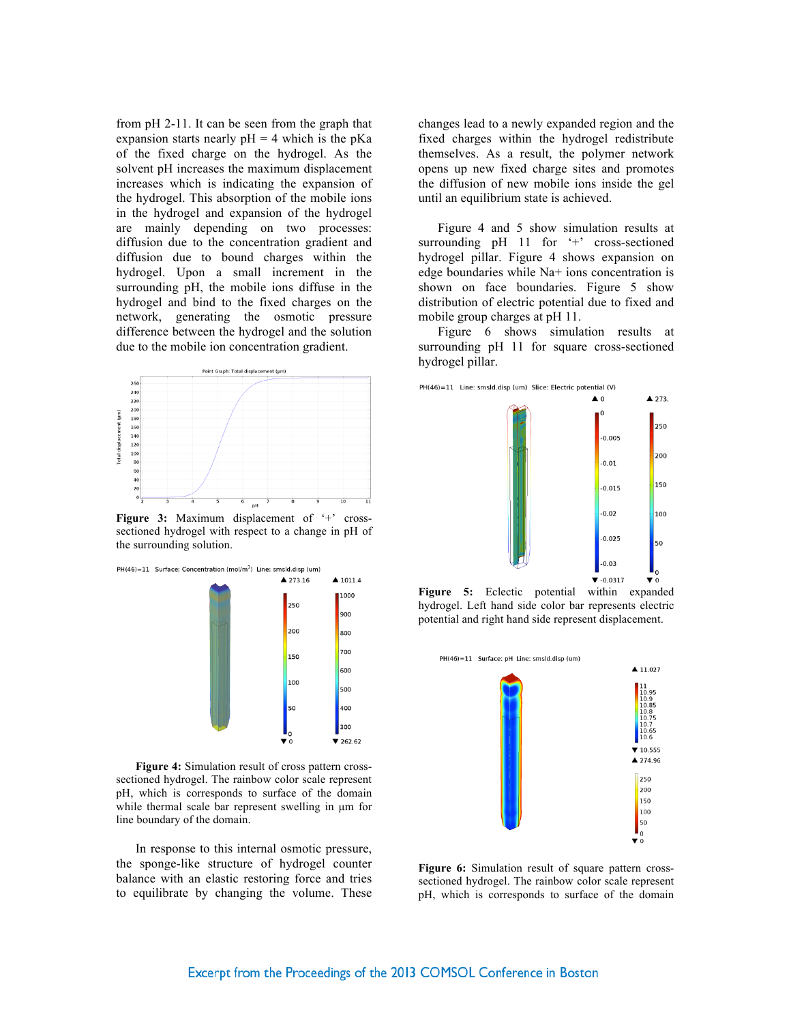from pH 2-11. It can be seen from the graph that expansion starts nearly  $pH = 4$  which is the pKa of the fixed charge on the hydrogel. As the solvent pH increases the maximum displacement increases which is indicating the expansion of the hydrogel. This absorption of the mobile ions in the hydrogel and expansion of the hydrogel are mainly depending on two processes: diffusion due to the concentration gradient and diffusion due to bound charges within the hydrogel. Upon a small increment in the surrounding pH, the mobile ions diffuse in the hydrogel and bind to the fixed charges on the network, generating the osmotic pressure difference between the hydrogel and the solution due to the mobile ion concentration gradient.



Figure 3: Maximum displacement of '+' crosssectioned hydrogel with respect to a change in pH of the surrounding solution.



**Figure 4:** Simulation result of cross pattern crosssectioned hydrogel. The rainbow color scale represent pH, which is corresponds to surface of the domain while thermal scale bar represent swelling in  $\mu$ m for line boundary of the domain.

In response to this internal osmotic pressure, the sponge-like structure of hydrogel counter balance with an elastic restoring force and tries to equilibrate by changing the volume. These

changes lead to a newly expanded region and the fixed charges within the hydrogel redistribute themselves. As a result, the polymer network opens up new fixed charge sites and promotes the diffusion of new mobile ions inside the gel until an equilibrium state is achieved.

Figure 4 and 5 show simulation results at surrounding pH 11 for '+' cross-sectioned hydrogel pillar. Figure 4 shows expansion on edge boundaries while Na+ ions concentration is shown on face boundaries. Figure 5 show distribution of electric potential due to fixed and mobile group charges at pH 11.

Figure 6 shows simulation results at surrounding pH 11 for square cross-sectioned hydrogel pillar.



**Figure 5:** Eclectic potential within expanded hydrogel. Left hand side color bar represents electric potential and right hand side represent displacement.



**Figure 6:** Simulation result of square pattern crosssectioned hydrogel. The rainbow color scale represent pH, which is corresponds to surface of the domain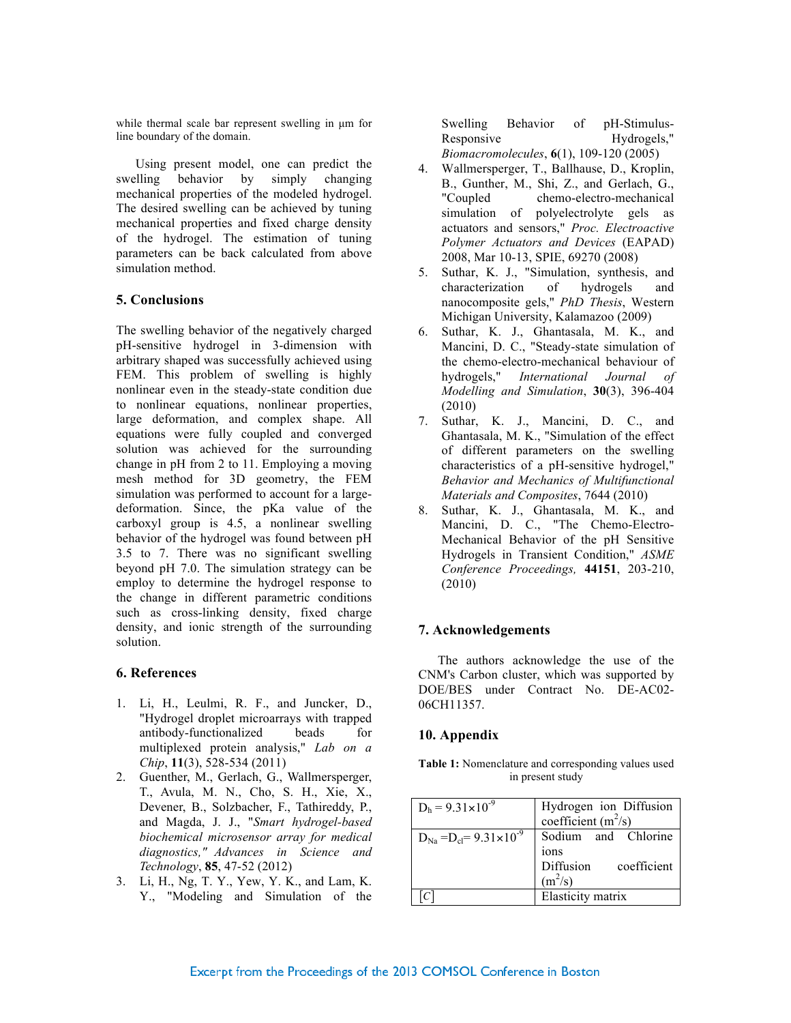while thermal scale bar represent swelling in  $\mu$ m for line boundary of the domain.

Using present model, one can predict the swelling behavior by simply changing mechanical properties of the modeled hydrogel. The desired swelling can be achieved by tuning mechanical properties and fixed charge density of the hydrogel. The estimation of tuning parameters can be back calculated from above simulation method.

# **5. Conclusions**

The swelling behavior of the negatively charged pH-sensitive hydrogel in 3-dimension with arbitrary shaped was successfully achieved using FEM. This problem of swelling is highly nonlinear even in the steady-state condition due to nonlinear equations, nonlinear properties, large deformation, and complex shape. All equations were fully coupled and converged solution was achieved for the surrounding change in pH from 2 to 11. Employing a moving mesh method for 3D geometry, the FEM simulation was performed to account for a largedeformation. Since, the pKa value of the carboxyl group is 4.5, a nonlinear swelling behavior of the hydrogel was found between pH 3.5 to 7. There was no significant swelling beyond pH 7.0. The simulation strategy can be employ to determine the hydrogel response to the change in different parametric conditions such as cross-linking density, fixed charge density, and ionic strength of the surrounding solution.

## **6. References**

- 1. Li, H., Leulmi, R. F., and Juncker, D., "Hydrogel droplet microarrays with trapped antibody-functionalized beads for multiplexed protein analysis," *Lab on a Chip*, **11**(3), 528-534 (2011)
- 2. Guenther, M., Gerlach, G., Wallmersperger, T., Avula, M. N., Cho, S. H., Xie, X., Devener, B., Solzbacher, F., Tathireddy, P., and Magda, J. J., "*Smart hydrogel-based biochemical microsensor array for medical diagnostics," Advances in Science and Technology*, **85**, 47-52 (2012)
- 3. Li, H., Ng, T. Y., Yew, Y. K., and Lam, K. Y., "Modeling and Simulation of the

Swelling Behavior of pH-Stimulus-Responsive Hydrogels," *Biomacromolecules*, **6**(1), 109-120 (2005)

- 4. Wallmersperger, T., Ballhause, D., Kroplin, B., Gunther, M., Shi, Z., and Gerlach, G., "Coupled chemo-electro-mechanical simulation of polyelectrolyte gels as actuators and sensors," *Proc. Electroactive Polymer Actuators and Devices* (EAPAD) 2008, Mar 10-13, SPIE, 69270 (2008)
- 5. Suthar, K. J., "Simulation, synthesis, and characterization of hydrogels and nanocomposite gels," *PhD Thesis*, Western Michigan University, Kalamazoo (2009)
- 6. Suthar, K. J., Ghantasala, M. K., and Mancini, D. C., "Steady-state simulation of the chemo-electro-mechanical behaviour of hydrogels," *International Journal of Modelling and Simulation*, **30**(3), 396-404 (2010)
- 7. Suthar, K. J., Mancini, D. C., and Ghantasala, M. K., "Simulation of the effect of different parameters on the swelling characteristics of a pH-sensitive hydrogel," *Behavior and Mechanics of Multifunctional Materials and Composites*, 7644 (2010)
- 8. Suthar, K. J., Ghantasala, M. K., and Mancini, D. C., "The Chemo-Electro-Mechanical Behavior of the pH Sensitive Hydrogels in Transient Condition," *ASME Conference Proceedings,* **44151**, 203-210, (2010)

## **7. Acknowledgements**

The authors acknowledge the use of the CNM's Carbon cluster, which was supported by DOE/BES under Contract No. DE-AC02- 06CH11357.

#### **10. Appendix**

**Table 1:** Nomenclature and corresponding values used in present study

| $D_h = 9.31 \times 10^{-9}$             | Hydrogen ion Diffusion<br>coefficient $(m^2/s)$ |
|-----------------------------------------|-------------------------------------------------|
|                                         |                                                 |
| $D_{Na} = D_{cl} = 9.31 \times 10^{-9}$ | Sodium and Chlorine                             |
|                                         | ions                                            |
|                                         | Diffusion coefficient                           |
|                                         | $(m^2/s)$                                       |
|                                         | Elasticity matrix                               |